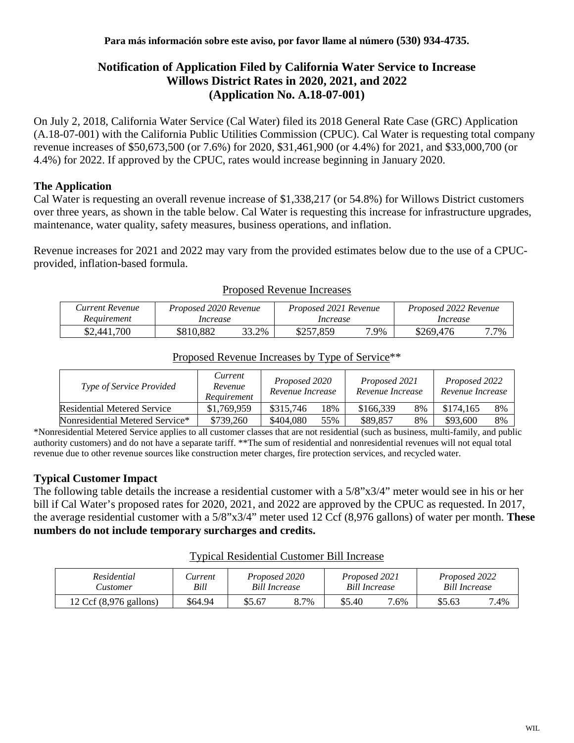# **Notification of Application Filed by California Water Service to Increase Willows District Rates in 2020, 2021, and 2022 (Application No. A.18-07-001)**

On July 2, 2018, California Water Service (Cal Water) filed its 2018 General Rate Case (GRC) Application (A.18-07-001) with the California Public Utilities Commission (CPUC). Cal Water is requesting total company revenue increases of \$50,673,500 (or 7.6%) for 2020, \$31,461,900 (or 4.4%) for 2021, and \$33,000,700 (or 4.4%) for 2022. If approved by the CPUC, rates would increase beginning in January 2020.

## **The Application**

Cal Water is requesting an overall revenue increase of \$1,338,217 (or 54.8%) for Willows District customers over three years, as shown in the table below. Cal Water is requesting this increase for infrastructure upgrades, maintenance, water quality, safety measures, business operations, and inflation.

Revenue increases for 2021 and 2022 may vary from the provided estimates below due to the use of a CPUCprovided, inflation-based formula.

| Current Revenue | Proposed 2020 Revenue |       | Proposed 2021 Revenue |     | Proposed 2022 Revenue |      |  |
|-----------------|-----------------------|-------|-----------------------|-----|-----------------------|------|--|
| Requirement     | Increase              |       | Increase              |     | Increase              |      |  |
| \$2,441,700     | \$810,882             | 33.2% | \$257,859             | .9% | \$269,476             | 7.7% |  |

#### Proposed Revenue Increases

| <i>Type of Service Provided</i>    | Current<br>Revenue<br>Requirement |           | Proposed 2020<br>Revenue Increase |           | Proposed 2021<br>Revenue Increase |           | Proposed 2022<br>Revenue Increase |  |
|------------------------------------|-----------------------------------|-----------|-----------------------------------|-----------|-----------------------------------|-----------|-----------------------------------|--|
| <b>Residential Metered Service</b> | \$1,769,959                       | \$315,746 | 18%                               | \$166,339 | 8%                                | \$174,165 | 8%                                |  |
| Nonresidential Metered Service*    | \$739,260                         | \$404,080 | 55%                               | \$89,857  | 8%                                | \$93,600  | 8%                                |  |

# Proposed Revenue Increases by Type of Service\*\*

\*Nonresidential Metered Service applies to all customer classes that are not residential (such as business, multi-family, and public authority customers) and do not have a separate tariff. \*\*The sum of residential and nonresidential revenues will not equal total revenue due to other revenue sources like construction meter charges, fire protection services, and recycled water.

# **Typical Customer Impact**

The following table details the increase a residential customer with a 5/8"x3/4" meter would see in his or her bill if Cal Water's proposed rates for 2020, 2021, and 2022 are approved by the CPUC as requested. In 2017, the average residential customer with a 5/8"x3/4" meter used 12 Ccf (8,976 gallons) of water per month. **These numbers do not include temporary surcharges and credits.**

#### Typical Residential Customer Bill Increase

| Residential                      | <i>Current</i> | Proposed 2020        |      | Proposed 2021 |      | Proposed 2022        |      |
|----------------------------------|----------------|----------------------|------|---------------|------|----------------------|------|
| ustomer.                         | Bill           | <b>Bill Increase</b> |      | Bill Increase |      | <b>Bill Increase</b> |      |
| 12 Ccf $(8,976 \text{ gallons})$ | \$64.94        | \$5.67               | 8.7% | \$5.40        | 7.6% | \$5.63               | 7.4% |